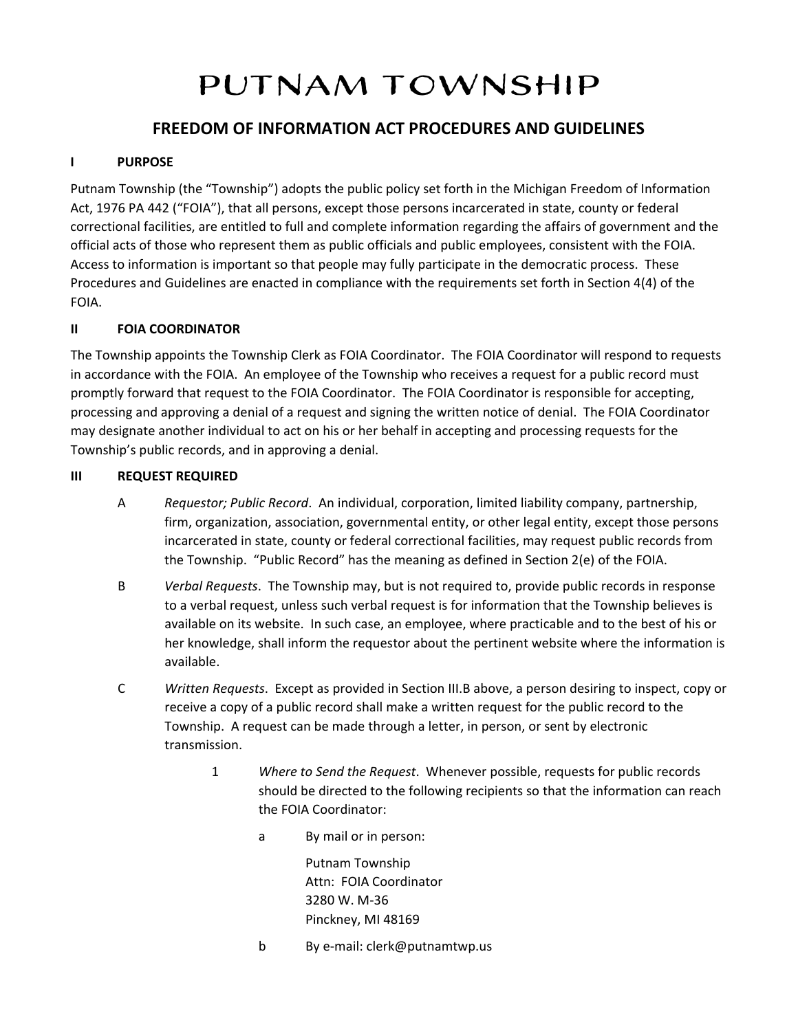# PUTNAM TOWNSHIP

# **FREEDOM OF INFORMATION ACT PROCEDURES AND GUIDELINES**

# **I PURPOSE**

Putnam Township (the "Township") adopts the public policy set forth in the Michigan Freedom of Information Act, 1976 PA 442 ("FOIA"), that all persons, except those persons incarcerated in state, county or federal correctional facilities, are entitled to full and complete information regarding the affairs of government and the official acts of those who represent them as public officials and public employees, consistent with the FOIA. Access to information is important so that people may fully participate in the democratic process. These Procedures and Guidelines are enacted in compliance with the requirements set forth in Section 4(4) of the FOIA.

# **II FOIA COORDINATOR**

The Township appoints the Township Clerk as FOIA Coordinator. The FOIA Coordinator will respond to requests in accordance with the FOIA. An employee of the Township who receives a request for a public record must promptly forward that request to the FOIA Coordinator. The FOIA Coordinator is responsible for accepting, processing and approving a denial of a request and signing the written notice of denial. The FOIA Coordinator may designate another individual to act on his or her behalf in accepting and processing requests for the Township's public records, and in approving a denial.

# **III REQUEST REQUIRED**

- A *Requestor; Public Record*. An individual, corporation, limited liability company, partnership, firm, organization, association, governmental entity, or other legal entity, except those persons incarcerated in state, county or federal correctional facilities, may request public records from the Township. "Public Record" has the meaning as defined in Section 2(e) of the FOIA.
- B *Verbal Requests*. The Township may, but is not required to, provide public records in response to a verbal request, unless such verbal request is for information that the Township believes is available on its website. In such case, an employee, where practicable and to the best of his or her knowledge, shall inform the requestor about the pertinent website where the information is available.
- C *Written Requests*. Except as provided in Section III.B above, a person desiring to inspect, copy or receive a copy of a public record shall make a written request for the public record to the Township. A request can be made through a letter, in person, or sent by electronic transmission.
	- 1 *Where to Send the Request*. Whenever possible, requests for public records should be directed to the following recipients so that the information can reach the FOIA Coordinator:
		- a By mail or in person:

Putnam Township Attn: FOIA Coordinator 3280 W. M‐36 Pinckney, MI 48169

b By e‐mail: clerk@putnamtwp.us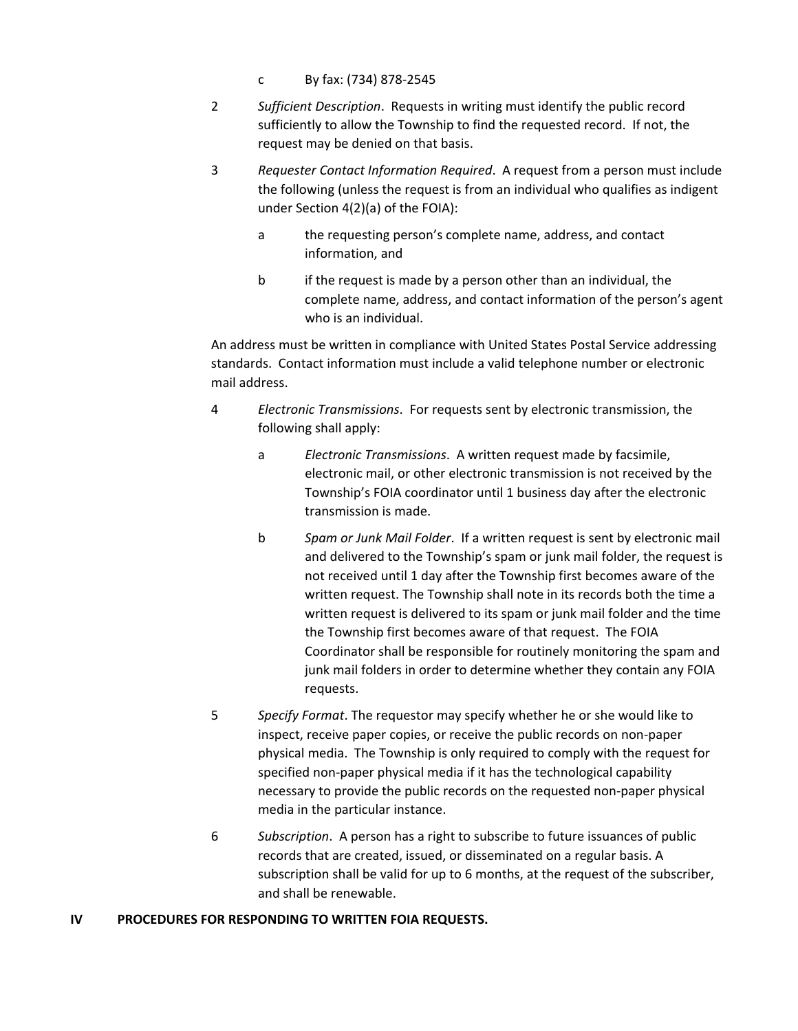- c By fax: (734) 878‐2545
- 2 *Sufficient Description*. Requests in writing must identify the public record sufficiently to allow the Township to find the requested record. If not, the request may be denied on that basis.
- 3 *Requester Contact Information Required*. A request from a person must include the following (unless the request is from an individual who qualifies as indigent under Section 4(2)(a) of the FOIA):
	- a the requesting person's complete name, address, and contact information, and
	- b if the request is made by a person other than an individual, the complete name, address, and contact information of the person's agent who is an individual.

An address must be written in compliance with United States Postal Service addressing standards. Contact information must include a valid telephone number or electronic mail address.

- 4 *Electronic Transmissions*. For requests sent by electronic transmission, the following shall apply:
	- a *Electronic Transmissions*. A written request made by facsimile, electronic mail, or other electronic transmission is not received by the Township's FOIA coordinator until 1 business day after the electronic transmission is made.
	- b *Spam or Junk Mail Folder*. If a written request is sent by electronic mail and delivered to the Township's spam or junk mail folder, the request is not received until 1 day after the Township first becomes aware of the written request. The Township shall note in its records both the time a written request is delivered to its spam or junk mail folder and the time the Township first becomes aware of that request. The FOIA Coordinator shall be responsible for routinely monitoring the spam and junk mail folders in order to determine whether they contain any FOIA requests.
- 5 *Specify Format*. The requestor may specify whether he or she would like to inspect, receive paper copies, or receive the public records on non‐paper physical media. The Township is only required to comply with the request for specified non‐paper physical media if it has the technological capability necessary to provide the public records on the requested non‐paper physical media in the particular instance.
- 6 *Subscription*. A person has a right to subscribe to future issuances of public records that are created, issued, or disseminated on a regular basis. A subscription shall be valid for up to 6 months, at the request of the subscriber, and shall be renewable.

#### **IV PROCEDURES FOR RESPONDING TO WRITTEN FOIA REQUESTS.**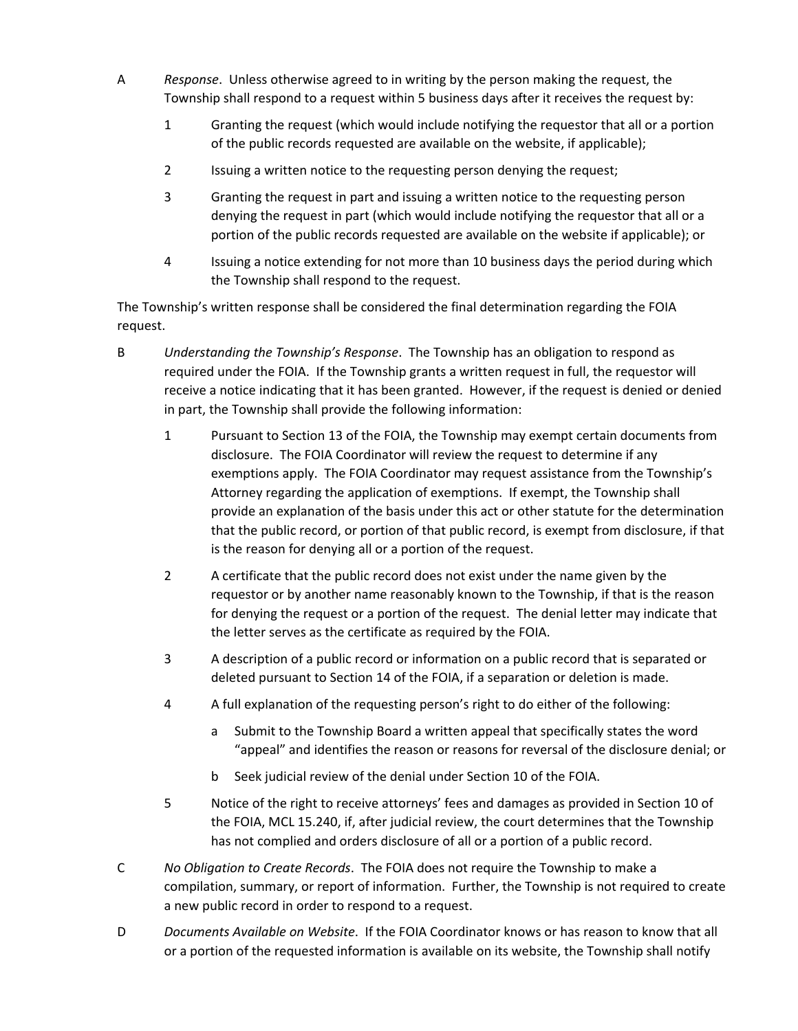- A *Response*. Unless otherwise agreed to in writing by the person making the request, the Township shall respond to a request within 5 business days after it receives the request by:
	- 1 Granting the request (which would include notifying the requestor that all or a portion of the public records requested are available on the website, if applicable);
	- 2 Issuing a written notice to the requesting person denying the request;
	- 3 Granting the request in part and issuing a written notice to the requesting person denying the request in part (which would include notifying the requestor that all or a portion of the public records requested are available on the website if applicable); or
	- 4 Issuing a notice extending for not more than 10 business days the period during which the Township shall respond to the request.

The Township's written response shall be considered the final determination regarding the FOIA request.

- B *Understanding the Township's Response*. The Township has an obligation to respond as required under the FOIA. If the Township grants a written request in full, the requestor will receive a notice indicating that it has been granted. However, if the request is denied or denied in part, the Township shall provide the following information:
	- 1 Pursuant to Section 13 of the FOIA, the Township may exempt certain documents from disclosure. The FOIA Coordinator will review the request to determine if any exemptions apply. The FOIA Coordinator may request assistance from the Township's Attorney regarding the application of exemptions. If exempt, the Township shall provide an explanation of the basis under this act or other statute for the determination that the public record, or portion of that public record, is exempt from disclosure, if that is the reason for denying all or a portion of the request.
	- 2 A certificate that the public record does not exist under the name given by the requestor or by another name reasonably known to the Township, if that is the reason for denying the request or a portion of the request. The denial letter may indicate that the letter serves as the certificate as required by the FOIA.
	- 3 A description of a public record or information on a public record that is separated or deleted pursuant to Section 14 of the FOIA, if a separation or deletion is made.
	- 4 A full explanation of the requesting person's right to do either of the following:
		- a Submit to the Township Board a written appeal that specifically states the word "appeal" and identifies the reason or reasons for reversal of the disclosure denial; or
		- b Seek judicial review of the denial under Section 10 of the FOIA.
	- 5 Notice of the right to receive attorneys' fees and damages as provided in Section 10 of the FOIA, MCL 15.240, if, after judicial review, the court determines that the Township has not complied and orders disclosure of all or a portion of a public record.
- C *No Obligation to Create Records*. The FOIA does not require the Township to make a compilation, summary, or report of information. Further, the Township is not required to create a new public record in order to respond to a request.
- D *Documents Available on Website*. If the FOIA Coordinator knows or has reason to know that all or a portion of the requested information is available on its website, the Township shall notify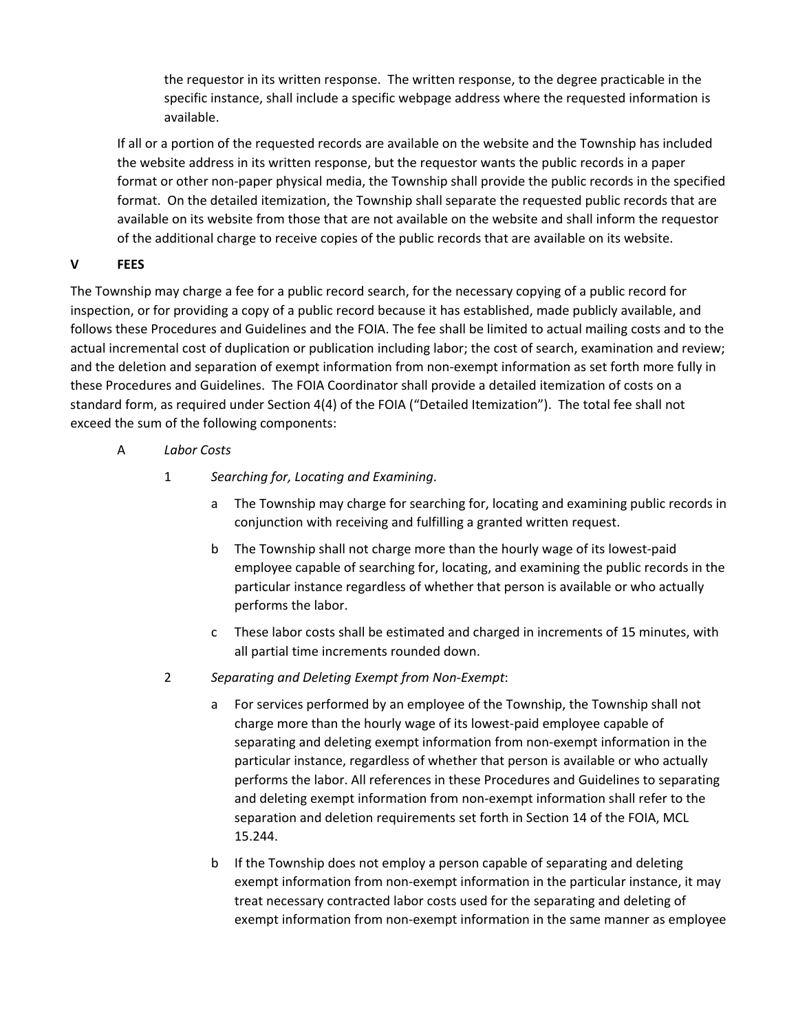the requestor in its written response. The written response, to the degree practicable in the specific instance, shall include a specific webpage address where the requested information is available.

If all or a portion of the requested records are available on the website and the Township has included the website address in its written response, but the requestor wants the public records in a paper format or other non‐paper physical media, the Township shall provide the public records in the specified format. On the detailed itemization, the Township shall separate the requested public records that are available on its website from those that are not available on the website and shall inform the requestor of the additional charge to receive copies of the public records that are available on its website.

# **V FEES**

The Township may charge a fee for a public record search, for the necessary copying of a public record for inspection, or for providing a copy of a public record because it has established, made publicly available, and follows these Procedures and Guidelines and the FOIA. The fee shall be limited to actual mailing costs and to the actual incremental cost of duplication or publication including labor; the cost of search, examination and review; and the deletion and separation of exempt information from non-exempt information as set forth more fully in these Procedures and Guidelines. The FOIA Coordinator shall provide a detailed itemization of costs on a standard form, as required under Section 4(4) of the FOIA ("Detailed Itemization"). The total fee shall not exceed the sum of the following components:

- A *Labor Costs*
	- 1 *Searching for, Locating and Examining*.
		- a The Township may charge for searching for, locating and examining public records in conjunction with receiving and fulfilling a granted written request.
		- b The Township shall not charge more than the hourly wage of its lowest‐paid employee capable of searching for, locating, and examining the public records in the particular instance regardless of whether that person is available or who actually performs the labor.
		- c These labor costs shall be estimated and charged in increments of 15 minutes, with all partial time increments rounded down.
	- 2 *Separating and Deleting Exempt from Non‐Exempt*:
		- a For services performed by an employee of the Township, the Township shall not charge more than the hourly wage of its lowest‐paid employee capable of separating and deleting exempt information from non‐exempt information in the particular instance, regardless of whether that person is available or who actually performs the labor. All references in these Procedures and Guidelines to separating and deleting exempt information from non‐exempt information shall refer to the separation and deletion requirements set forth in Section 14 of the FOIA, MCL 15.244.
		- b If the Township does not employ a person capable of separating and deleting exempt information from non‐exempt information in the particular instance, it may treat necessary contracted labor costs used for the separating and deleting of exempt information from non‐exempt information in the same manner as employee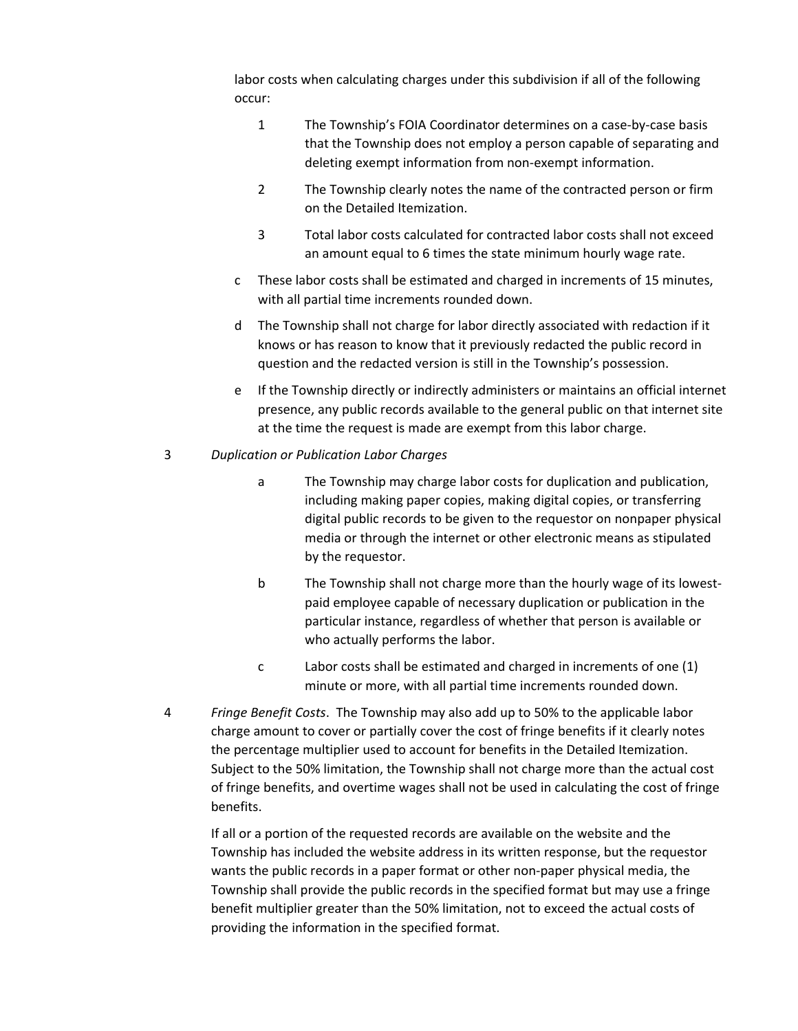labor costs when calculating charges under this subdivision if all of the following occur:

- 1 The Township's FOIA Coordinator determines on a case‐by‐case basis that the Township does not employ a person capable of separating and deleting exempt information from non‐exempt information.
- 2 The Township clearly notes the name of the contracted person or firm on the Detailed Itemization.
- 3 Total labor costs calculated for contracted labor costs shall not exceed an amount equal to 6 times the state minimum hourly wage rate.
- c These labor costs shall be estimated and charged in increments of 15 minutes, with all partial time increments rounded down.
- d The Township shall not charge for labor directly associated with redaction if it knows or has reason to know that it previously redacted the public record in question and the redacted version is still in the Township's possession.
- e If the Township directly or indirectly administers or maintains an official internet presence, any public records available to the general public on that internet site at the time the request is made are exempt from this labor charge.

#### 3 *Duplication or Publication Labor Charges*

- a The Township may charge labor costs for duplication and publication, including making paper copies, making digital copies, or transferring digital public records to be given to the requestor on nonpaper physical media or through the internet or other electronic means as stipulated by the requestor.
- b The Township shall not charge more than the hourly wage of its lowestpaid employee capable of necessary duplication or publication in the particular instance, regardless of whether that person is available or who actually performs the labor.
- c Labor costs shall be estimated and charged in increments of one (1) minute or more, with all partial time increments rounded down.
- 4 *Fringe Benefit Costs*. The Township may also add up to 50% to the applicable labor charge amount to cover or partially cover the cost of fringe benefits if it clearly notes the percentage multiplier used to account for benefits in the Detailed Itemization. Subject to the 50% limitation, the Township shall not charge more than the actual cost of fringe benefits, and overtime wages shall not be used in calculating the cost of fringe benefits.

If all or a portion of the requested records are available on the website and the Township has included the website address in its written response, but the requestor wants the public records in a paper format or other non‐paper physical media, the Township shall provide the public records in the specified format but may use a fringe benefit multiplier greater than the 50% limitation, not to exceed the actual costs of providing the information in the specified format.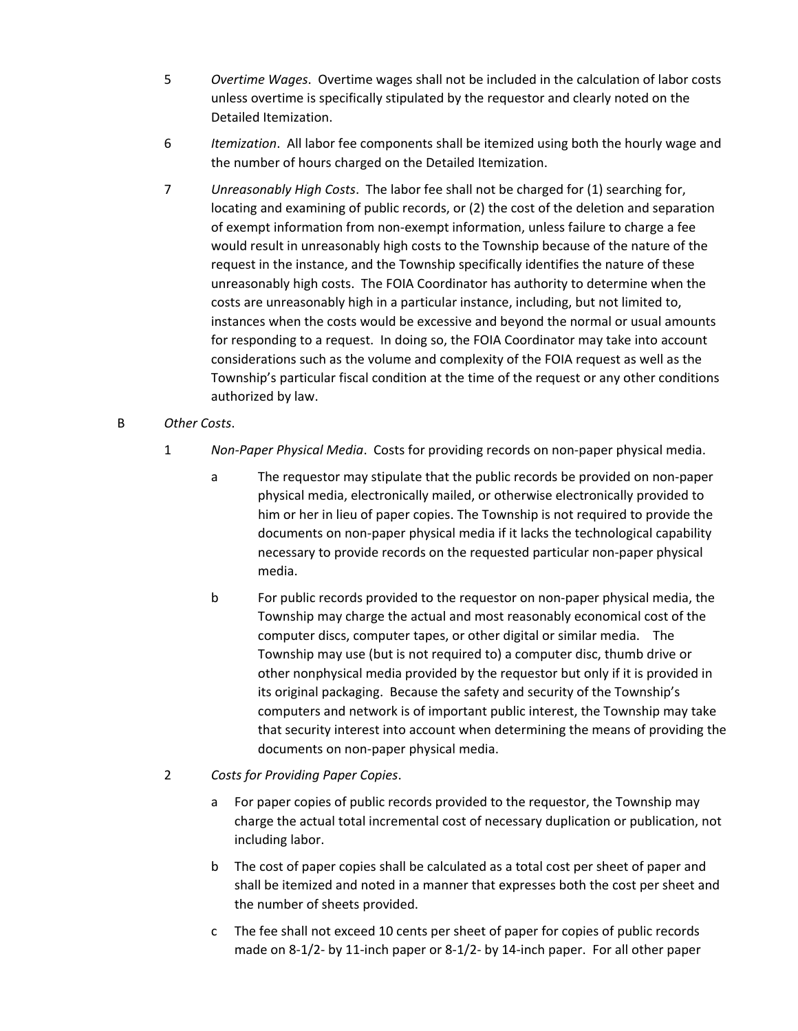- 5 *Overtime Wages*. Overtime wages shall not be included in the calculation of labor costs unless overtime is specifically stipulated by the requestor and clearly noted on the Detailed Itemization.
- 6 *Itemization*. All labor fee components shall be itemized using both the hourly wage and the number of hours charged on the Detailed Itemization.
- 7 *Unreasonably High Costs*. The labor fee shall not be charged for (1) searching for, locating and examining of public records, or (2) the cost of the deletion and separation of exempt information from non‐exempt information, unless failure to charge a fee would result in unreasonably high costs to the Township because of the nature of the request in the instance, and the Township specifically identifies the nature of these unreasonably high costs. The FOIA Coordinator has authority to determine when the costs are unreasonably high in a particular instance, including, but not limited to, instances when the costs would be excessive and beyond the normal or usual amounts for responding to a request. In doing so, the FOIA Coordinator may take into account considerations such as the volume and complexity of the FOIA request as well as the Township's particular fiscal condition at the time of the request or any other conditions authorized by law.

# B *Other Costs*.

- 1 *Non‐Paper Physical Media*. Costs for providing records on non‐paper physical media.
	- a The requestor may stipulate that the public records be provided on non‐paper physical media, electronically mailed, or otherwise electronically provided to him or her in lieu of paper copies. The Township is not required to provide the documents on non‐paper physical media if it lacks the technological capability necessary to provide records on the requested particular non‐paper physical media.
	- b For public records provided to the requestor on non‐paper physical media, the Township may charge the actual and most reasonably economical cost of the computer discs, computer tapes, or other digital or similar media. The Township may use (but is not required to) a computer disc, thumb drive or other nonphysical media provided by the requestor but only if it is provided in its original packaging. Because the safety and security of the Township's computers and network is of important public interest, the Township may take that security interest into account when determining the means of providing the documents on non‐paper physical media.
- 2 *Costs for Providing Paper Copies*.
	- a For paper copies of public records provided to the requestor, the Township may charge the actual total incremental cost of necessary duplication or publication, not including labor.
	- b The cost of paper copies shall be calculated as a total cost per sheet of paper and shall be itemized and noted in a manner that expresses both the cost per sheet and the number of sheets provided.
	- c The fee shall not exceed 10 cents per sheet of paper for copies of public records made on 8‐1/2‐ by 11‐inch paper or 8‐1/2‐ by 14‐inch paper. For all other paper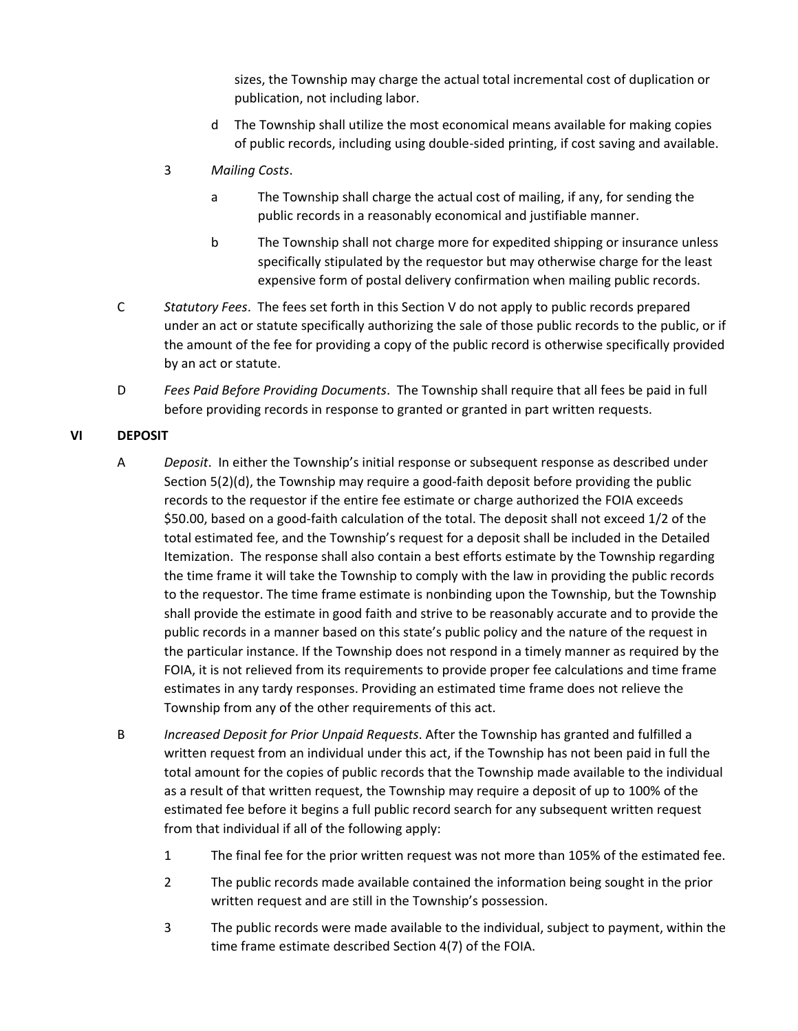sizes, the Township may charge the actual total incremental cost of duplication or publication, not including labor.

- d The Township shall utilize the most economical means available for making copies of public records, including using double‐sided printing, if cost saving and available.
- 3 *Mailing Costs*.
	- a The Township shall charge the actual cost of mailing, if any, for sending the public records in a reasonably economical and justifiable manner.
	- b The Township shall not charge more for expedited shipping or insurance unless specifically stipulated by the requestor but may otherwise charge for the least expensive form of postal delivery confirmation when mailing public records.
- C *Statutory Fees*. The fees set forth in this Section V do not apply to public records prepared under an act or statute specifically authorizing the sale of those public records to the public, or if the amount of the fee for providing a copy of the public record is otherwise specifically provided by an act or statute.
- D *Fees Paid Before Providing Documents*. The Township shall require that all fees be paid in full before providing records in response to granted or granted in part written requests.

#### **VI DEPOSIT**

- A *Deposit*. In either the Township's initial response or subsequent response as described under Section 5(2)(d), the Township may require a good-faith deposit before providing the public records to the requestor if the entire fee estimate or charge authorized the FOIA exceeds \$50.00, based on a good‐faith calculation of the total. The deposit shall not exceed 1/2 of the total estimated fee, and the Township's request for a deposit shall be included in the Detailed Itemization. The response shall also contain a best efforts estimate by the Township regarding the time frame it will take the Township to comply with the law in providing the public records to the requestor. The time frame estimate is nonbinding upon the Township, but the Township shall provide the estimate in good faith and strive to be reasonably accurate and to provide the public records in a manner based on this state's public policy and the nature of the request in the particular instance. If the Township does not respond in a timely manner as required by the FOIA, it is not relieved from its requirements to provide proper fee calculations and time frame estimates in any tardy responses. Providing an estimated time frame does not relieve the Township from any of the other requirements of this act.
- B *Increased Deposit for Prior Unpaid Requests*. After the Township has granted and fulfilled a written request from an individual under this act, if the Township has not been paid in full the total amount for the copies of public records that the Township made available to the individual as a result of that written request, the Township may require a deposit of up to 100% of the estimated fee before it begins a full public record search for any subsequent written request from that individual if all of the following apply:
	- 1 The final fee for the prior written request was not more than 105% of the estimated fee.
	- 2 The public records made available contained the information being sought in the prior written request and are still in the Township's possession.
	- 3 The public records were made available to the individual, subject to payment, within the time frame estimate described Section 4(7) of the FOIA.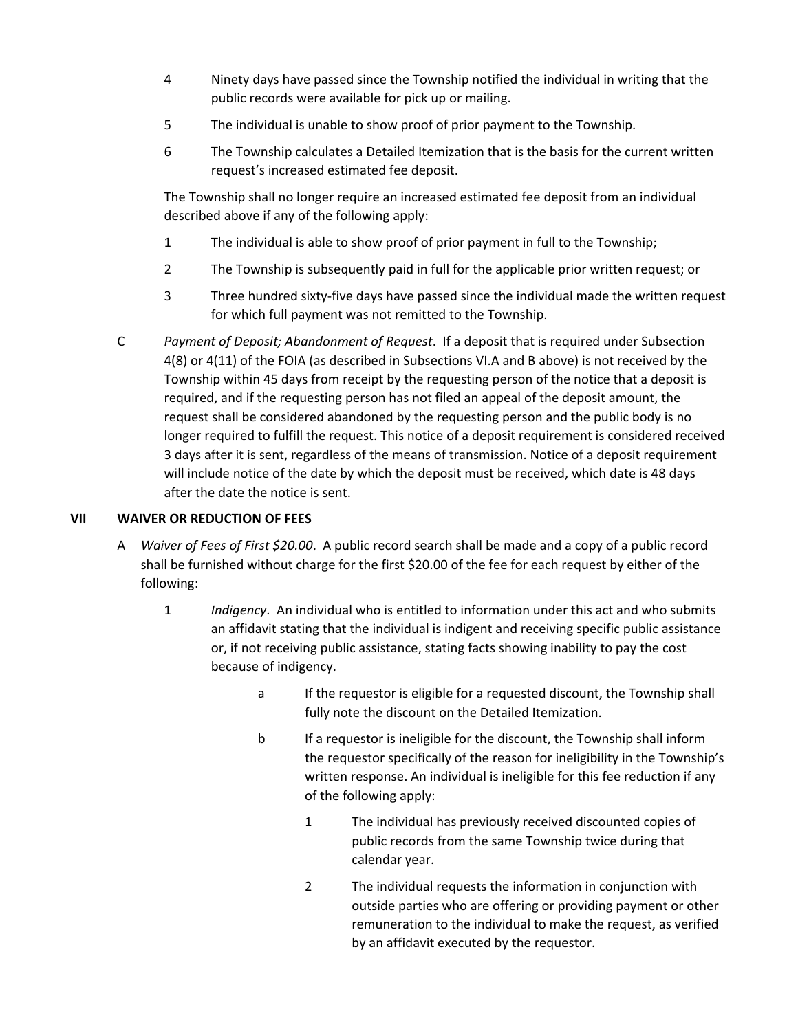- 4 Ninety days have passed since the Township notified the individual in writing that the public records were available for pick up or mailing.
- 5 The individual is unable to show proof of prior payment to the Township.
- 6 The Township calculates a Detailed Itemization that is the basis for the current written request's increased estimated fee deposit.

The Township shall no longer require an increased estimated fee deposit from an individual described above if any of the following apply:

- 1 The individual is able to show proof of prior payment in full to the Township;
- 2 The Township is subsequently paid in full for the applicable prior written request; or
- 3 Three hundred sixty‐five days have passed since the individual made the written request for which full payment was not remitted to the Township.
- C *Payment of Deposit; Abandonment of Request*. If a deposit that is required under Subsection 4(8) or 4(11) of the FOIA (as described in Subsections VI.A and B above) is not received by the Township within 45 days from receipt by the requesting person of the notice that a deposit is required, and if the requesting person has not filed an appeal of the deposit amount, the request shall be considered abandoned by the requesting person and the public body is no longer required to fulfill the request. This notice of a deposit requirement is considered received 3 days after it is sent, regardless of the means of transmission. Notice of a deposit requirement will include notice of the date by which the deposit must be received, which date is 48 days after the date the notice is sent.

# **VII WAIVER OR REDUCTION OF FEES**

- A *Waiver of Fees of First \$20.00*. A public record search shall be made and a copy of a public record shall be furnished without charge for the first \$20.00 of the fee for each request by either of the following:
	- 1 *Indigency*. An individual who is entitled to information under this act and who submits an affidavit stating that the individual is indigent and receiving specific public assistance or, if not receiving public assistance, stating facts showing inability to pay the cost because of indigency.
		- a If the requestor is eligible for a requested discount, the Township shall fully note the discount on the Detailed Itemization.
		- b If a requestor is ineligible for the discount, the Township shall inform the requestor specifically of the reason for ineligibility in the Township's written response. An individual is ineligible for this fee reduction if any of the following apply:
			- 1 The individual has previously received discounted copies of public records from the same Township twice during that calendar year.
			- 2 The individual requests the information in conjunction with outside parties who are offering or providing payment or other remuneration to the individual to make the request, as verified by an affidavit executed by the requestor.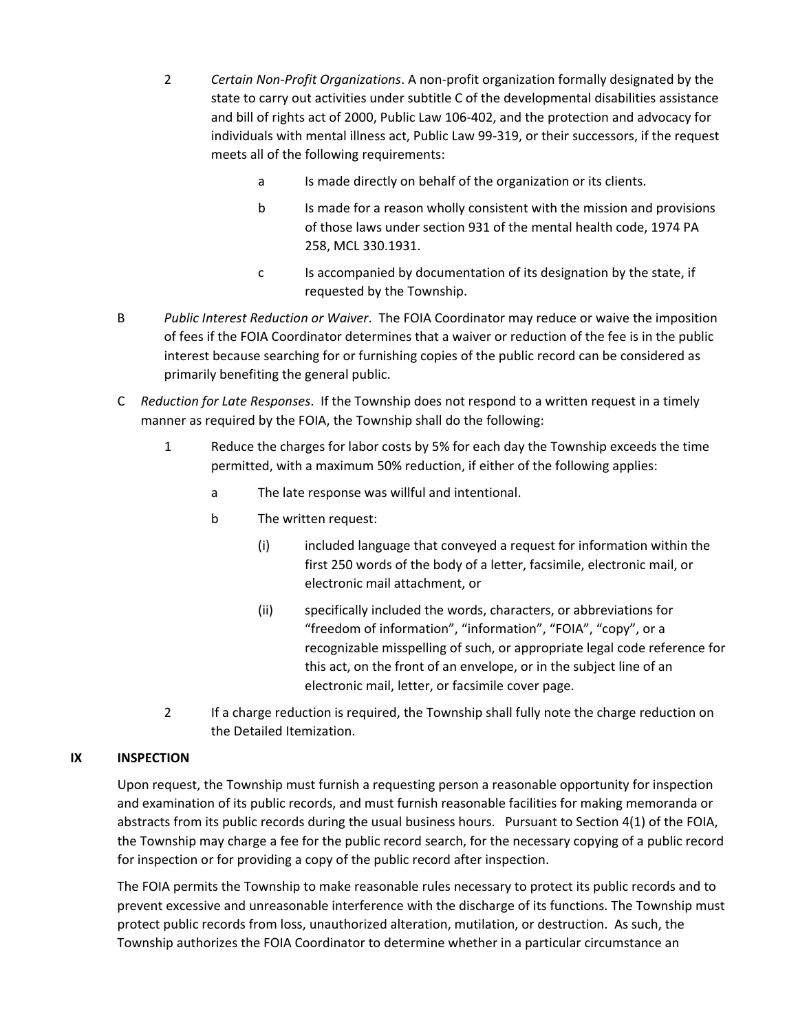- 2 *Certain Non‐Profit Organizations*. A non‐profit organization formally designated by the state to carry out activities under subtitle C of the developmental disabilities assistance and bill of rights act of 2000, Public Law 106‐402, and the protection and advocacy for individuals with mental illness act, Public Law 99-319, or their successors, if the request meets all of the following requirements:
	- a Is made directly on behalf of the organization or its clients.
	- b Is made for a reason wholly consistent with the mission and provisions of those laws under section 931 of the mental health code, 1974 PA 258, MCL 330.1931.
	- c Is accompanied by documentation of its designation by the state, if requested by the Township.
- B *Public Interest Reduction or Waiver*. The FOIA Coordinator may reduce or waive the imposition of fees if the FOIA Coordinator determines that a waiver or reduction of the fee is in the public interest because searching for or furnishing copies of the public record can be considered as primarily benefiting the general public.
- C *Reduction for Late Responses*. If the Township does not respond to a written request in a timely manner as required by the FOIA, the Township shall do the following:
	- 1 Reduce the charges for labor costs by 5% for each day the Township exceeds the time permitted, with a maximum 50% reduction, if either of the following applies:
		- a The late response was willful and intentional.
		- b The written request:
			- (i) included language that conveyed a request for information within the first 250 words of the body of a letter, facsimile, electronic mail, or electronic mail attachment, or
			- (ii) specifically included the words, characters, or abbreviations for "freedom of information", "information", "FOIA", "copy", or a recognizable misspelling of such, or appropriate legal code reference for this act, on the front of an envelope, or in the subject line of an electronic mail, letter, or facsimile cover page.
	- 2 If a charge reduction is required, the Township shall fully note the charge reduction on the Detailed Itemization.

# **IX INSPECTION**

Upon request, the Township must furnish a requesting person a reasonable opportunity for inspection and examination of its public records, and must furnish reasonable facilities for making memoranda or abstracts from its public records during the usual business hours. Pursuant to Section 4(1) of the FOIA, the Township may charge a fee for the public record search, for the necessary copying of a public record for inspection or for providing a copy of the public record after inspection.

The FOIA permits the Township to make reasonable rules necessary to protect its public records and to prevent excessive and unreasonable interference with the discharge of its functions. The Township must protect public records from loss, unauthorized alteration, mutilation, or destruction. As such, the Township authorizes the FOIA Coordinator to determine whether in a particular circumstance an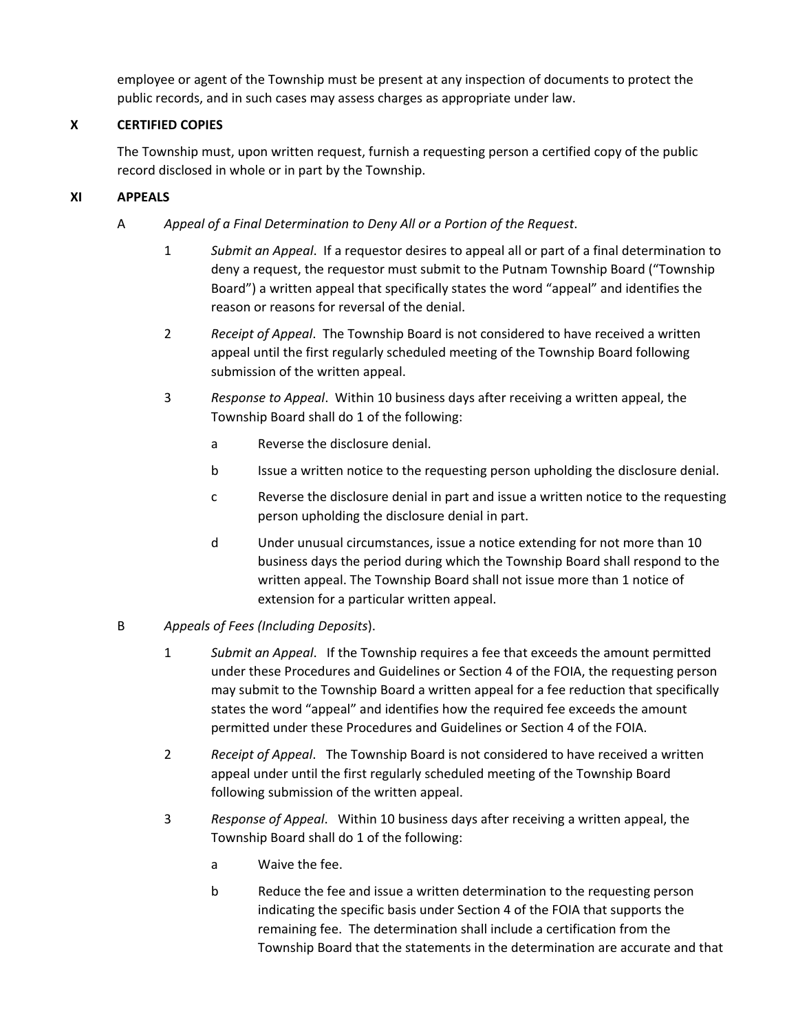employee or agent of the Township must be present at any inspection of documents to protect the public records, and in such cases may assess charges as appropriate under law.

# **X CERTIFIED COPIES**

The Township must, upon written request, furnish a requesting person a certified copy of the public record disclosed in whole or in part by the Township.

# **XI APPEALS**

- A *Appeal of a Final Determination to Deny All or a Portion of the Request*.
	- 1 *Submit an Appeal*. If a requestor desires to appeal all or part of a final determination to deny a request, the requestor must submit to the Putnam Township Board ("Township Board") a written appeal that specifically states the word "appeal" and identifies the reason or reasons for reversal of the denial.
	- 2 *Receipt of Appeal*. The Township Board is not considered to have received a written appeal until the first regularly scheduled meeting of the Township Board following submission of the written appeal.
	- 3 *Response to Appeal*. Within 10 business days after receiving a written appeal, the Township Board shall do 1 of the following:
		- a Reverse the disclosure denial.
		- b Issue a written notice to the requesting person upholding the disclosure denial.
		- c Reverse the disclosure denial in part and issue a written notice to the requesting person upholding the disclosure denial in part.
		- d Under unusual circumstances, issue a notice extending for not more than 10 business days the period during which the Township Board shall respond to the written appeal. The Township Board shall not issue more than 1 notice of extension for a particular written appeal.
- B *Appeals of Fees (Including Deposits*).
	- 1 *Submit an Appeal*. If the Township requires a fee that exceeds the amount permitted under these Procedures and Guidelines or Section 4 of the FOIA, the requesting person may submit to the Township Board a written appeal for a fee reduction that specifically states the word "appeal" and identifies how the required fee exceeds the amount permitted under these Procedures and Guidelines or Section 4 of the FOIA.
	- 2 *Receipt of Appeal*. The Township Board is not considered to have received a written appeal under until the first regularly scheduled meeting of the Township Board following submission of the written appeal.
	- 3 *Response of Appeal*. Within 10 business days after receiving a written appeal, the Township Board shall do 1 of the following:
		- a Waive the fee.
		- b Reduce the fee and issue a written determination to the requesting person indicating the specific basis under Section 4 of the FOIA that supports the remaining fee. The determination shall include a certification from the Township Board that the statements in the determination are accurate and that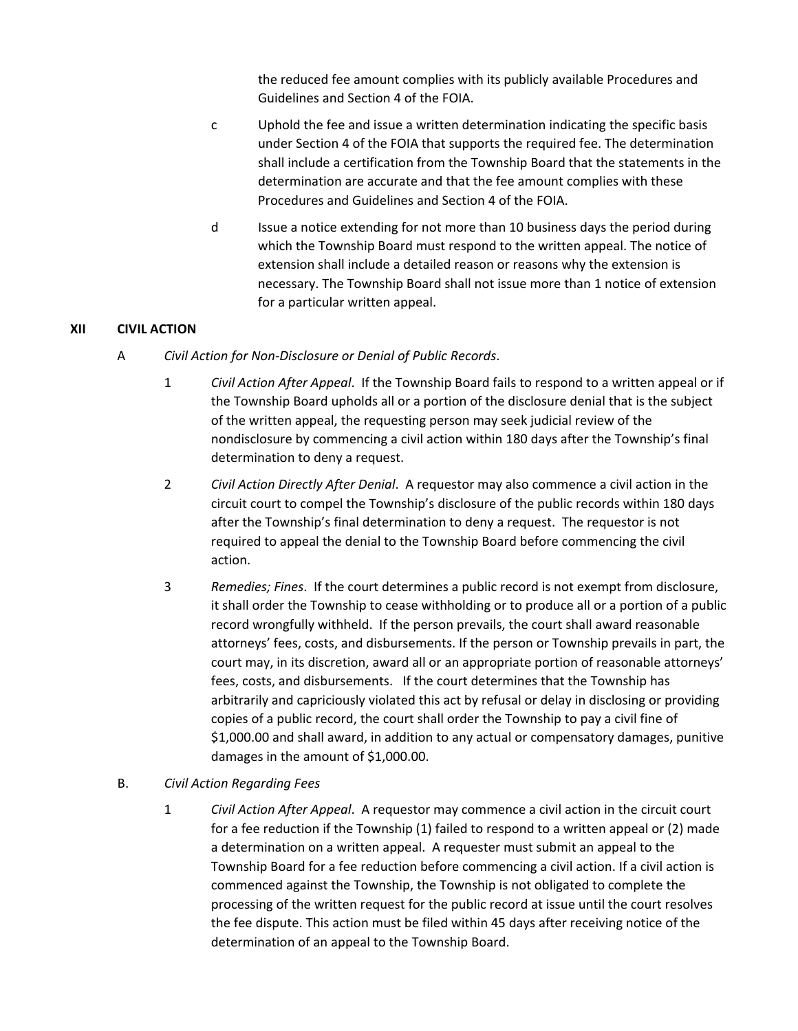the reduced fee amount complies with its publicly available Procedures and Guidelines and Section 4 of the FOIA.

- c Uphold the fee and issue a written determination indicating the specific basis under Section 4 of the FOIA that supports the required fee. The determination shall include a certification from the Township Board that the statements in the determination are accurate and that the fee amount complies with these Procedures and Guidelines and Section 4 of the FOIA.
- d Issue a notice extending for not more than 10 business days the period during which the Township Board must respond to the written appeal. The notice of extension shall include a detailed reason or reasons why the extension is necessary. The Township Board shall not issue more than 1 notice of extension for a particular written appeal.

#### **XII CIVIL ACTION**

- A *Civil Action for Non‐Disclosure or Denial of Public Records*.
	- 1 *Civil Action After Appeal*. If the Township Board fails to respond to a written appeal or if the Township Board upholds all or a portion of the disclosure denial that is the subject of the written appeal, the requesting person may seek judicial review of the nondisclosure by commencing a civil action within 180 days after the Township's final determination to deny a request.
	- 2 *Civil Action Directly After Denial*. A requestor may also commence a civil action in the circuit court to compel the Township's disclosure of the public records within 180 days after the Township's final determination to deny a request. The requestor is not required to appeal the denial to the Township Board before commencing the civil action.
	- 3 *Remedies; Fines*. If the court determines a public record is not exempt from disclosure, it shall order the Township to cease withholding or to produce all or a portion of a public record wrongfully withheld. If the person prevails, the court shall award reasonable attorneys' fees, costs, and disbursements. If the person or Township prevails in part, the court may, in its discretion, award all or an appropriate portion of reasonable attorneys' fees, costs, and disbursements. If the court determines that the Township has arbitrarily and capriciously violated this act by refusal or delay in disclosing or providing copies of a public record, the court shall order the Township to pay a civil fine of \$1,000.00 and shall award, in addition to any actual or compensatory damages, punitive damages in the amount of \$1,000.00.
- B. *Civil Action Regarding Fees*
	- 1 *Civil Action After Appeal*. A requestor may commence a civil action in the circuit court for a fee reduction if the Township (1) failed to respond to a written appeal or (2) made a determination on a written appeal. A requester must submit an appeal to the Township Board for a fee reduction before commencing a civil action. If a civil action is commenced against the Township, the Township is not obligated to complete the processing of the written request for the public record at issue until the court resolves the fee dispute. This action must be filed within 45 days after receiving notice of the determination of an appeal to the Township Board.